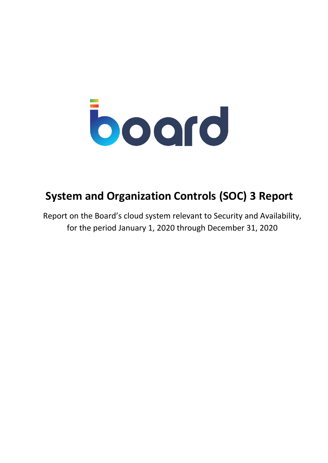

## **System and Organization Controls (SOC) 3 Report**

Report on the Board's cloud system relevant to Security and Availability, for the period January 1, 2020 through December 31, 2020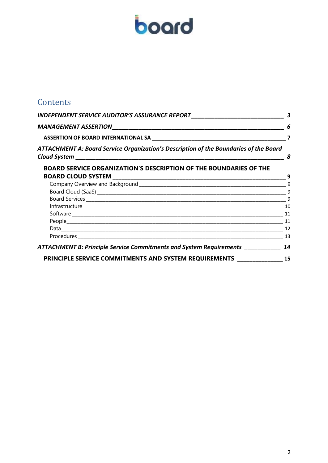# board

## **Contents**

| INDEPENDENT SERVICE AUDITOR'S ASSURANCE REPORT__________________________________<br>ATTACHMENT A: Board Service Organization's Description of the Boundaries of the Board | 3<br>6<br>$\overline{\mathbf{z}}$                                        |   |
|---------------------------------------------------------------------------------------------------------------------------------------------------------------------------|--------------------------------------------------------------------------|---|
|                                                                                                                                                                           |                                                                          |   |
|                                                                                                                                                                           |                                                                          | 8 |
|                                                                                                                                                                           | <b>BOARD SERVICE ORGANIZATION'S DESCRIPTION OF THE BOUNDARIES OF THE</b> |   |
|                                                                                                                                                                           |                                                                          | 9 |
|                                                                                                                                                                           | 9                                                                        |   |
|                                                                                                                                                                           | 9                                                                        |   |
|                                                                                                                                                                           | $\overline{\phantom{a}}$                                                 |   |
|                                                                                                                                                                           |                                                                          |   |
|                                                                                                                                                                           | 11                                                                       |   |
|                                                                                                                                                                           |                                                                          |   |
|                                                                                                                                                                           |                                                                          |   |
|                                                                                                                                                                           | 13                                                                       |   |
| ATTACHMENT B: Principle Service Commitments and System Requirements                                                                                                       | 14                                                                       |   |
| PRINCIPLE SERVICE COMMITMENTS AND SYSTEM REQUIREMENTS _______________                                                                                                     | 15                                                                       |   |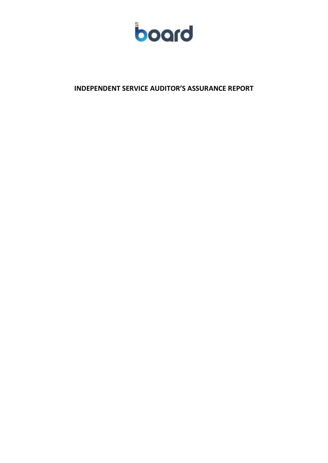

<span id="page-2-0"></span>**INDEPENDENT SERVICE AUDITOR'S ASSURANCE REPORT**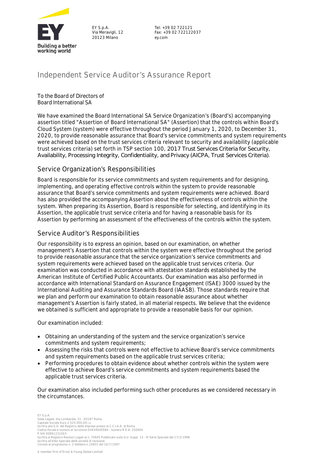

EY S.p.A. Via Meravigli, 12 20123 Milano

Tel: +39 02 722121 Fax: +39 02 722122037 ey.com

## **Independent Service Auditor's Assurance Report**

To the Board of Directors of Board International SA

We have examined the Board International SA Service Organization's (Board's) accompanying assertion titled "Assertion of Board International SA" (Assertion) that the controls within Board's Cloud System (system) were effective throughout the period January 1, 2020, to December 31, 2020, to provide reasonable assurance that Board's service commitments and system requirements were achieved based on the trust services criteria relevant to security and availability (applicable trust services criteria) set forth in TSP section 100, *2017 Trust Services Criteria for Security, Availability, Processing Integrity, Confidentiality, and Privacy (AICPA, Trust Services Criteria)*.

## **Service Organization's Responsibilities**

Board is responsible for its service commitments and system requirements and for designing, implementing, and operating effective controls within the system to provide reasonable assurance that Board's service commitments and system requirements were achieved. Board has also provided the accompanying Assertion about the effectiveness of controls within the system. When preparing its Assertion, Board is responsible for selecting, and identifying in its Assertion, the applicable trust service criteria and for having a reasonable basis for its Assertion by performing an assessment of the effectiveness of the controls within the system.

#### **Service Auditor's Responsibilities**

Our responsibility is to express an opinion, based on our examination, on whether management's Assertion that controls within the system were effective throughout the period to provide reasonable assurance that the service organization's service commitments and system requirements were achieved based on the applicable trust services criteria. Our examination was conducted in accordance with attestation standards established by the American Institute of Certified Public Accountants. Our examination was also performed in accordance with International Standard on Assurance Engagement (ISAE) 3000 issued by the International Auditing and Assurance Standards Board (IAASB). Those standards require that we plan and perform our examination to obtain reasonable assurance about whether management's Assertion is fairly stated, in all material respects. We believe that the evidence we obtained is sufficient and appropriate to provide a reasonable basis for our opinion.

Our examination included:

- Obtaining an understanding of the system and the service organization's service commitments and system requirements;
- Assessing the risks that controls were not effective to achieve Board's service commitments and system requirements based on the applicable trust services criteria;
- Performing procedures to obtain evidence about whether controls within the system were effective to achieve Board's service commitments and system requirements based the applicable trust services criteria.

Our examination also included performing such other procedures as we considered necessary in the circumstances.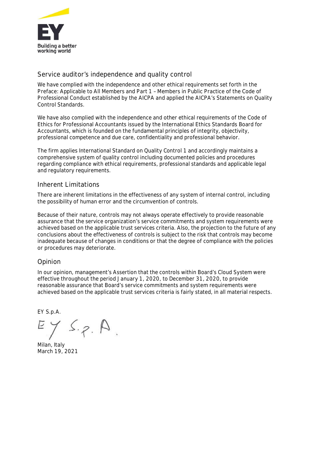

## **Service auditor's independence and quality control**

We have complied with the independence and other ethical requirements set forth in the Preface: Applicable to All Members and Part 1 – Members in Public Practice of the Code of Professional Conduct established by the AICPA and applied the AICPA's Statements on Quality Control Standards.

We have also complied with the independence and other ethical requirements of the Code of Ethics for Professional Accountants issued by the International Ethics Standards Board for Accountants, which is founded on the fundamental principles of integrity, objectivity, professional competence and due care, confidentiality and professional behavior.

The firm applies International Standard on Quality Control 1 and accordingly maintains a comprehensive system of quality control including documented policies and procedures regarding compliance with ethical requirements, professional standards and applicable legal and regulatory requirements.

#### **Inherent Limitations**

There are inherent limitations in the effectiveness of any system of internal control, including the possibility of human error and the circumvention of controls.

Because of their nature, controls may not always operate effectively to provide reasonable assurance that the service organization's service commitments and system requirements were achieved based on the applicable trust services criteria. Also, the projection to the future of any conclusions about the effectiveness of controls is subject to the risk that controls may become inadequate because of changes in conditions or that the degree of compliance with the policies or procedures may deteriorate.

## **Opinion**

In our opinion, management's Assertion that the controls within Board's Cloud System were effective throughout the period January 1, 2020, to December 31, 2020, to provide reasonable assurance that Board's service commitments and system requirements were achieved based on the applicable trust services criteria is fairly stated, in all material respects.

EY S.p.A.

 $1$  S.p.  $\beta$ .

Milan, Italy March 19, 2021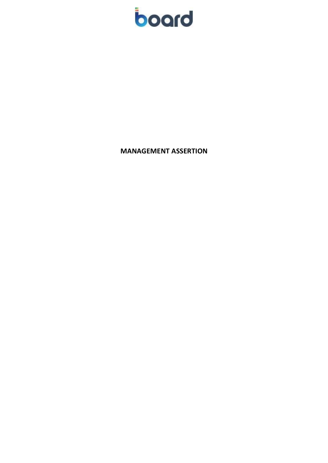

<span id="page-5-0"></span>**MANAGEMENT ASSERTION**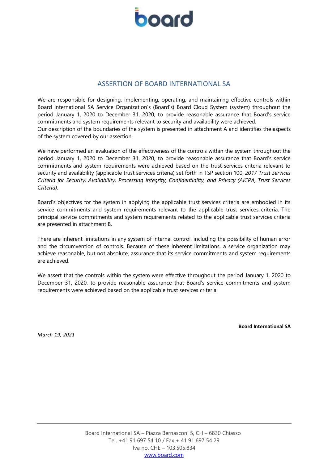

## ASSERTION OF BOARD INTERNATIONAL SA

<span id="page-6-0"></span>We are responsible for designing, implementing, operating, and maintaining effective controls within Board International SA Service Organization's (Board's) Board Cloud System (system) throughout the period January 1, 2020 to December 31, 2020, to provide reasonable assurance that Board's service commitments and system requirements relevant to security and availability were achieved. Our description of the boundaries of the system is presented in [attachment A](https://live.atlas.ey.com/#document/480733/SL_89807461-480733?pref=20011/9/147&crumb=6/C_25861177/C_25861493/C_149331252) and identifies the aspects of the system covered by our assertion.

We have performed an evaluation of the effectiveness of the controls within the system throughout the period January 1, 2020 to December 31, 2020, to provide reasonable assurance that Board's service commitments and system requirements were achieved based on the trust services criteria relevant to security and availability (applicable trust services criteria) set forth in [TSP section 100,](https://live.atlas.ey.com/#document/482499?pref=20011/9/147&crumb=6/C_25861177/C_25861493/C_149331252/480733) *2017 Trust Services Criteria for Security, Availability, Processing Integrity, Confidentiality, and Privacy (AICPA, Trust Services Criteria).*

Board's objectives for the system in applying the applicable trust services criteria are embodied in its service commitments and system requirements relevant to the applicable trust services criteria. The principal service commitments and system requirements related to the applicable trust services criteria are presented in [attachment B.](https://live.atlas.ey.com/#document/480733/SL_89807488-480733?pref=20011/9/147&crumb=6/C_25861177/C_25861493/C_149331252)

There are inherent limitations in any system of internal control, including the possibility of human error and the circumvention of controls. Because of these inherent limitations, a service organization may achieve reasonable, but not absolute, assurance that its service commitments and system requirements are achieved.

We assert that the controls within the system were effective throughout the period January 1, 2020 to December 31, 2020, to provide reasonable assurance that Board's service commitments and system requirements were achieved based on the applicable trust services criteria.

*March 19, 2021*

**Board International SA**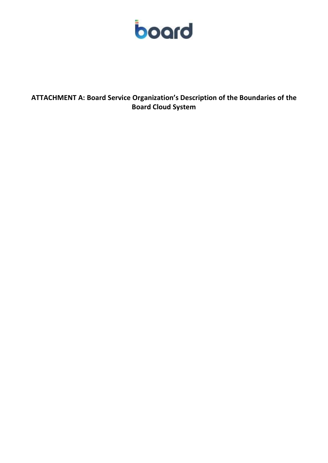

<span id="page-7-0"></span>**ATTACHMENT A: Board Service Organization's Description of the Boundaries of the Board Cloud System**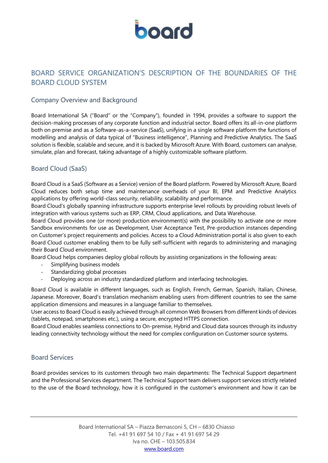

## <span id="page-8-0"></span>BOARD SERVICE ORGANIZATION'S DESCRIPTION OF THE BOUNDARIES OF THE BOARD CLOUD SYSTEM

## <span id="page-8-1"></span>Company Overview and Background

Board International SA ("Board" or the "Company"), founded in 1994, provides a software to support the decision-making processes of any corporate function and industrial sector. Board offers its all-in-one platform both on premise and as a Software-as-a-service (SaaS), unifying in a single software platform the functions of modelling and analysis of data typical of "Business intelligence", Planning and Predictive Analytics. The SaaS solution is flexible, scalable and secure, and it is backed by Microsoft Azure. With Board, customers can analyse, simulate, plan and forecast, taking advantage of a highly customizable software platform.

## <span id="page-8-2"></span>Board Cloud (SaaS)

Board Cloud is a SaaS (Software as a Service) version of the Board platform. Powered by Microsoft Azure, Board Cloud reduces both setup time and maintenance overheads of your BI, EPM and Predictive Analytics applications by offering world-class security, reliability, scalability and performance.

Board Cloud's globally spanning infrastructure supports enterprise level rollouts by providing robust levels of integration with various systems such as ERP, CRM, Cloud applications, and Data Warehouse.

Board Cloud provides one (or more) production environment(s) with the possibility to activate one or more Sandbox environments for use as Development, User Acceptance Test, Pre-production instances depending on Customer's project requirements and policies. Access to a Cloud Administration portal is also given to each Board Cloud customer enabling them to be fully self-sufficient with regards to administering and managing their Board Cloud environment.

Board Cloud helps companies deploy global rollouts by assisting organizations in the following areas:

- Simplifying business models
- Standardizing global processes
- Deploying across an industry standardized platform and interfacing technologies.

Board Cloud is available in different languages, such as English, French, German, Spanish, Italian, Chinese, Japanese. Moreover, Board's translation mechanism enabling users from different countries to see the same application dimensions and measures in a language familiar to themselves.

User access to Board Cloud is easily achieved through all common Web Browsers from different kinds of devices (tablets, notepad, smartphones etc.), using a secure, encrypted HTTPS connection.

Board Cloud enables seamless connections to On-premise, Hybrid and Cloud data sources through its industry leading connectivity technology without the need for complex configuration on Customer source systems.

## <span id="page-8-3"></span>Board Services

Board provides services to its customers through two main departments: The Technical Support department and the Professional Services department. The Technical Support team delivers support services strictly related to the use of the Board technology, how it is configured in the customer's environment and how it can be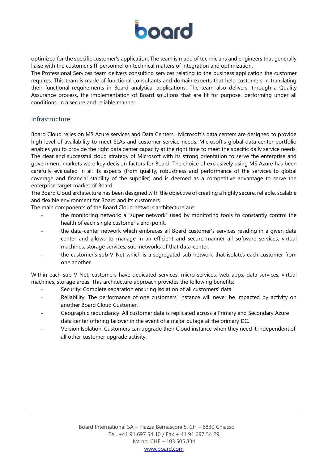

optimized for the specific customer's application. The team is made of technicians and engineers that generally liaise with the customer's IT personnel on technical matters of integration and optimization.

The Professional Services team delivers consulting services relating to the business application the customer requires. This team is made of functional consultants and domain experts that help customers in translating their functional requirements in Board analytical applications. The team also delivers, through a Quality Assurance process, the implementation of Board solutions that are fit for purpose, performing under all conditions, in a secure and reliable manner.

#### <span id="page-9-0"></span>Infrastructure

Board Cloud relies on MS Azure services and Data Centers. Microsoft's data centers are designed to provide high level of availability to meet SLAs and customer service needs. Microsoft's global data center portfolio enables you to provide the right data center capacity at the right time to meet the specific daily service needs. The clear and successful cloud strategy of Microsoft with its strong orientation to serve the enterprise and government markets were key decision factors for Board. The choice of exclusively using MS Azure has been carefully evaluated in all its aspects (from quality, robustness and performance of the services to global coverage and financial stability of the supplier) and is deemed as a competitive advantage to serve the enterprise target market of Board.

The Board Cloud architecture has been designed with the objective of creating a highly secure, reliable, scalable and flexible environment for Board and its customers.

The main components of the Board Cloud network architecture are:

- the monitoring network: a "super network" used by monitoring tools to constantly control the health of each single customer's end-point.
- the data-center network which embraces all Board customer's services residing in a given data center and allows to manage in an efficient and secure manner all software services, virtual machines, storage services, sub-networks of that data-center.
- the customer's sub V-Net which is a segregated sub-network that isolates each customer from one another.

Within each sub V-Net, customers have dedicated services: micro-services, web-apps, data services, virtual machines, storage areas. This architecture approach provides the following benefits:

- Security: Complete separation ensuring isolation of all customers' data.
- Reliability: The performance of one customers' instance will never be impacted by activity on another Board Cloud Customer.
- Geographic redundancy: All customer data is replicated across a Primary and Secondary Azure data center offering failover in the event of a major outage at the primary DC.
- Version Isolation: Customers can upgrade their Cloud instance when they need it independent of all other customer upgrade activity.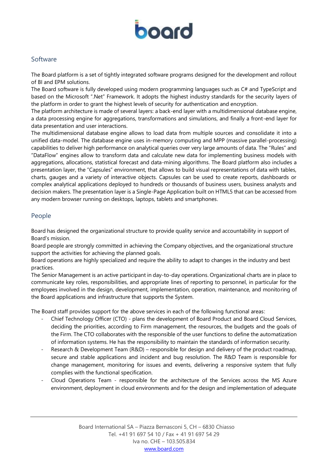

## <span id="page-10-0"></span>Software

The Board platform is a set of tightly integrated software programs designed for the development and rollout of BI and EPM solutions.

The Board software is fully developed using modern programming languages such as C# and TypeScript and based on the Microsoft ".Net" Framework. It adopts the highest industry standards for the security layers of the platform in order to grant the highest levels of security for authentication and encryption.

The platform architecture is made of several layers: a back-end layer with a multidimensional database engine, a data processing engine for aggregations, transformations and simulations, and finally a front-end layer for data presentation and user interactions.

The multidimensional database engine allows to load data from multiple sources and consolidate it into a unified data-model. The database engine uses in-memory computing and MPP (massive parallel-processing) capabilities to deliver high performance on analytical queries over very large amounts of data. The "Rules" and "DataFlow" engines allow to transform data and calculate new data for implementing business models with aggregations, allocations, statistical forecast and data-mining algorithms. The Board platform also includes a presentation layer, the "Capsules" environment, that allows to build visual representations of data with tables, charts, gauges and a variety of interactive objects. Capsules can be used to create reports, dashboards or complex analytical applications deployed to hundreds or thousands of business users, business analysts and decision makers. The presentation layer is a Single-Page Application built on HTML5 that can be accessed from any modern browser running on desktops, laptops, tablets and smartphones.

## <span id="page-10-1"></span>People

Board has designed the organizational structure to provide quality service and accountability in support of Board's mission.

Board people are strongly committed in achieving the Company objectives, and the organizational structure support the activities for achieving the planned goals.

Board operations are highly specialized and require the ability to adapt to changes in the industry and best practices.

The Senior Management is an active participant in day-to-day operations. Organizational charts are in place to communicate key roles, responsibilities, and appropriate lines of reporting to personnel, in particular for the employees involved in the design, development, implementation, operation, maintenance, and monitoring of the Board applications and infrastructure that supports the System.

The Board staff provides support for the above services in each of the following functional areas:

- Chief Technology Officer (CTO) plans the development of Board Product and Board Cloud Services, deciding the priorities, according to Firm management, the resources, the budgets and the goals of the Firm. The CTO collaborates with the responsible of the user functions to define the automatization of information systems. He has the responsibility to maintain the standards of information security.
- Research & Development Team (R&D) responsible for design and delivery of the product roadmap, secure and stable applications and incident and bug resolution. The R&D Team is responsible for change management, monitoring for issues and events, delivering a responsive system that fully complies with the functional specification.
- Cloud Operations Team responsible for the architecture of the Services across the MS Azure environment, deployment in cloud environments and for the design and implementation of adequate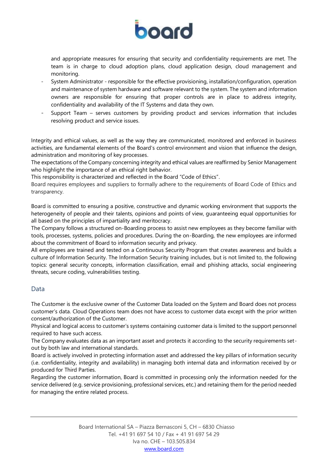

and appropriate measures for ensuring that security and confidentiality requirements are met. The team is in charge to cloud adoption plans, cloud application design, cloud management and monitoring.

- System Administrator responsible for the effective provisioning, installation/configuration, operation and maintenance of system hardware and software relevant to the system. The system and information owners are responsible for ensuring that proper controls are in place to address integrity, confidentiality and availability of the IT Systems and data they own.
- Support Team serves customers by providing product and services information that includes resolving product and service issues.

Integrity and ethical values, as well as the way they are communicated, monitored and enforced in business activities, are fundamental elements of the Board's control environment and vision that influence the design, administration and monitoring of key processes.

The expectations of the Company concerning integrity and ethical values are reaffirmed by Senior Management who highlight the importance of an ethical right behavior.

This responsibility is characterized and reflected in the Board "Code of Ethics".

Board requires employees and suppliers to formally adhere to the requirements of Board Code of Ethics and transparency.

Board is committed to ensuring a positive, constructive and dynamic working environment that supports the heterogeneity of people and their talents, opinions and points of view, guaranteeing equal opportunities for all based on the principles of impartiality and meritocracy.

The Company follows a structured on-Boarding process to assist new employees as they become familiar with tools, processes, systems, policies and procedures. During the on-Boarding, the new employees are informed about the commitment of Board to information security and privacy.

All employees are trained and tested on a Continuous Security Program that creates awareness and builds a culture of Information Security. The Information Security training includes, but is not limited to, the following topics: general security concepts, information classification, email and phishing attacks, social engineering threats, secure coding, vulnerabilities testing.

## <span id="page-11-0"></span>Data

The Customer is the exclusive owner of the Customer Data loaded on the System and Board does not process customer's data. Cloud Operations team does not have access to customer data except with the prior written consent/authorization of the Customer.

Physical and logical access to customer's systems containing customer data is limited to the support personnel required to have such access.

The Company evaluates data as an important asset and protects it according to the security requirements setout by both law and international standards.

Board is actively involved in protecting information asset and addressed the key pillars of information security (i.e. confidentiality, integrity and availability) in managing both internal data and information received by or produced for Third Parties.

Regarding the customer information, Board is committed in processing only the information needed for the service delivered (e.g. service provisioning, professional services, etc.) and retaining them for the period needed for managing the entire related process.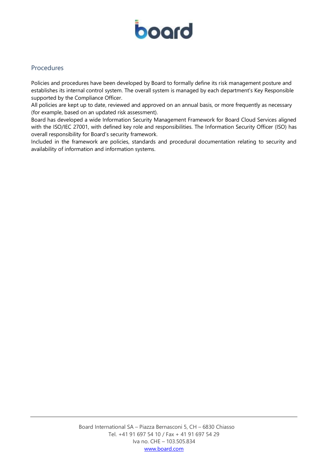

## <span id="page-12-0"></span>Procedures

Policies and procedures have been developed by Board to formally define its risk management posture and establishes its internal control system. The overall system is managed by each department's Key Responsible supported by the Compliance Officer.

All policies are kept up to date, reviewed and approved on an annual basis, or more frequently as necessary (for example, based on an updated risk assessment).

Board has developed a wide Information Security Management Framework for Board Cloud Services aligned with the ISO/IEC 27001, with defined key role and responsibilities. The Information Security Officer (ISO) has overall responsibility for Board's security framework.

Included in the framework are policies, standards and procedural documentation relating to security and availability of information and information systems.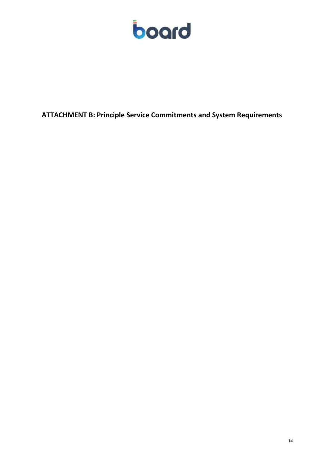

<span id="page-13-0"></span>**ATTACHMENT B: Principle Service Commitments and System Requirements**